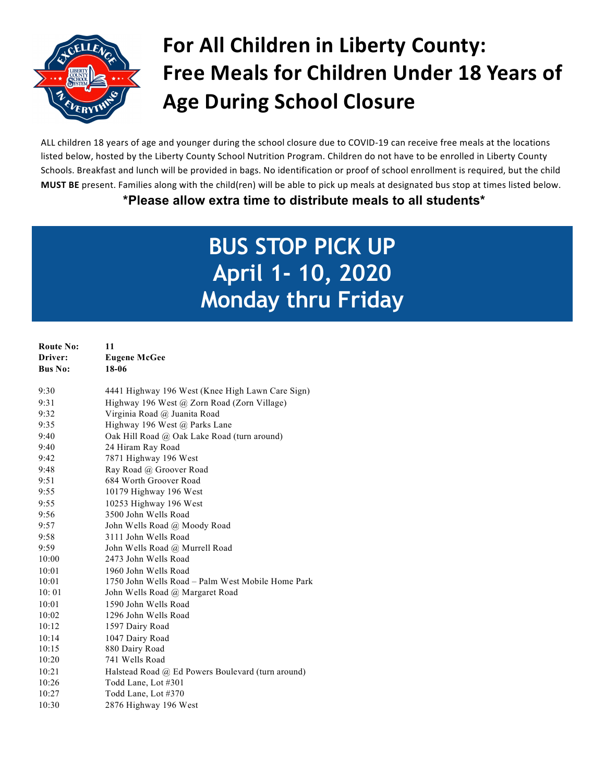

# **For All Children in Liberty County: Free Meals for Children Under 18 Years of Age During School Closure**

ALL children 18 years of age and younger during the school closure due to COVID-19 can receive free meals at the locations listed below, hosted by the Liberty County School Nutrition Program. Children do not have to be enrolled in Liberty County Schools. Breakfast and lunch will be provided in bags. No identification or proof of school enrollment is required, but the child **MUST BE** present. Families along with the child(ren) will be able to pick up meals at designated bus stop at times listed below. **\*Please allow extra time to distribute meals to all students\*** 

# **BUS STOP PICK UP April 1- 10, 2020 Monday thru Friday**

| <b>Route No:</b> | 11                                                |
|------------------|---------------------------------------------------|
| Driver:          | <b>Eugene McGee</b>                               |
| <b>Bus No:</b>   | 18-06                                             |
|                  |                                                   |
| 9:30             | 4441 Highway 196 West (Knee High Lawn Care Sign)  |
| 9:31             | Highway 196 West @ Zorn Road (Zorn Village)       |
| 9:32             | Virginia Road @ Juanita Road                      |
| 9:35             | Highway 196 West @ Parks Lane                     |
| 9:40             | Oak Hill Road @ Oak Lake Road (turn around)       |
| 9:40             | 24 Hiram Ray Road                                 |
| 9:42             | 7871 Highway 196 West                             |
| 9:48             | Ray Road @ Groover Road                           |
| 9:51             | 684 Worth Groover Road                            |
| 9:55             | 10179 Highway 196 West                            |
| 9:55             | 10253 Highway 196 West                            |
| 9:56             | 3500 John Wells Road                              |
| 9:57             | John Wells Road @ Moody Road                      |
| 9:58             | 3111 John Wells Road                              |
| 9:59             | John Wells Road @ Murrell Road                    |
| 10:00            | 2473 John Wells Road                              |
| 10:01            | 1960 John Wells Road                              |
| 10:01            | 1750 John Wells Road – Palm West Mobile Home Park |
| 10:01            | John Wells Road @ Margaret Road                   |
| 10:01            | 1590 John Wells Road                              |
| 10:02            | 1296 John Wells Road                              |
| 10:12            | 1597 Dairy Road                                   |
| 10:14            | 1047 Dairy Road                                   |
| 10:15            | 880 Dairy Road                                    |
| 10:20            | 741 Wells Road                                    |
| 10:21            | Halstead Road @ Ed Powers Boulevard (turn around) |
| 10:26            | Todd Lane, Lot #301                               |
| 10:27            | Todd Lane, Lot #370                               |
| 10:30            | 2876 Highway 196 West                             |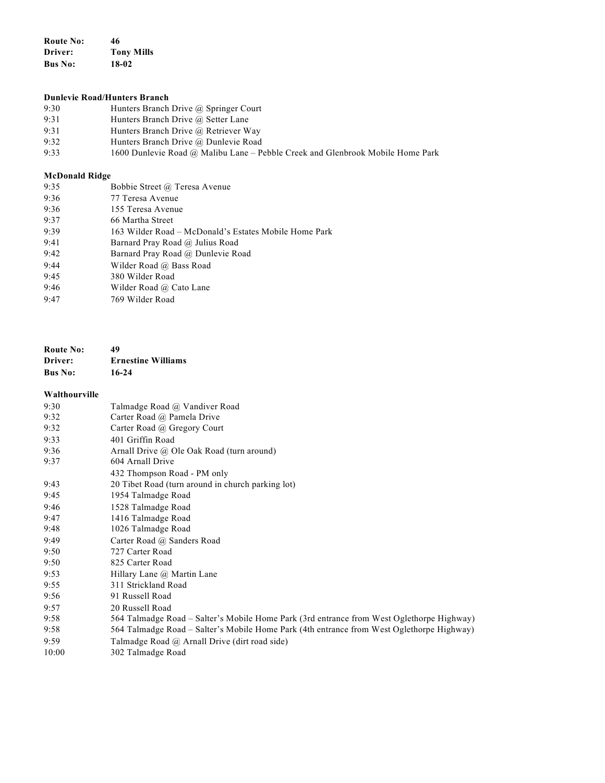**Route No: 46 Driver: Tony Mills Bus No: 18-02**

# **Dunlevie Road/Hunters Branch**

- 9:30 Hunters Branch Drive @ Springer Court<br>9:31 Hunters Branch Drive @ Setter Lane
- Hunters Branch Drive @ Setter Lane
- 9:31 Hunters Branch Drive @ Retriever Way<br>9:32 Hunters Branch Drive @ Dunlevie Road
- 9:32 Hunters Branch Drive @ Dunlevie Road<br>9:33 1600 Dunlevie Road @ Malibu Lane Pe
- 1600 Dunlevie Road @ Malibu Lane Pebble Creek and Glenbrook Mobile Home Park

### **McDonald Ridge**

| 9:35 | Bobbie Street @ Teresa Avenue                         |
|------|-------------------------------------------------------|
| 9:36 | 77 Teresa Avenue                                      |
| 9:36 | 155 Teresa Avenue                                     |
| 9:37 | 66 Martha Street                                      |
| 9:39 | 163 Wilder Road – McDonald's Estates Mobile Home Park |
| 9:41 | Barnard Pray Road @ Julius Road                       |
| 9:42 | Barnard Pray Road @ Dunlevie Road                     |
| 9:44 | Wilder Road @ Bass Road                               |
| 9:45 | 380 Wilder Road                                       |
| 9:46 | Wilder Road @ Cato Lane                               |
| 9:47 | 769 Wilder Road                                       |

| <b>Route No:</b> | 49                        |
|------------------|---------------------------|
| Driver:          | <b>Ernestine Williams</b> |
| <b>Bus No:</b>   | 16-24                     |

#### **Walthourville**

| 9:30  | Talmadge Road @ Vandiver Road                                                             |
|-------|-------------------------------------------------------------------------------------------|
| 9:32  | Carter Road @ Pamela Drive                                                                |
| 9:32  | Carter Road @ Gregory Court                                                               |
| 9:33  | 401 Griffin Road                                                                          |
| 9:36  | Arnall Drive @ Ole Oak Road (turn around)                                                 |
| 9:37  | 604 Arnall Drive                                                                          |
|       | 432 Thompson Road - PM only                                                               |
| 9:43  | 20 Tibet Road (turn around in church parking lot)                                         |
| 9:45  | 1954 Talmadge Road                                                                        |
| 9:46  | 1528 Talmadge Road                                                                        |
| 9:47  | 1416 Talmadge Road                                                                        |
| 9:48  | 1026 Talmadge Road                                                                        |
| 9:49  | Carter Road @ Sanders Road                                                                |
| 9:50  | 727 Carter Road                                                                           |
| 9:50  | 825 Carter Road                                                                           |
| 9:53  | Hillary Lane @ Martin Lane                                                                |
| 9:55  | 311 Strickland Road                                                                       |
| 9:56  | 91 Russell Road                                                                           |
| 9:57  | 20 Russell Road                                                                           |
| 9:58  | 564 Talmadge Road – Salter's Mobile Home Park (3rd entrance from West Oglethorpe Highway) |
| 9:58  | 564 Talmadge Road - Salter's Mobile Home Park (4th entrance from West Oglethorpe Highway) |
| 9:59  | Talmadge Road @ Arnall Drive (dirt road side)                                             |
| 10:00 | 302 Talmadge Road                                                                         |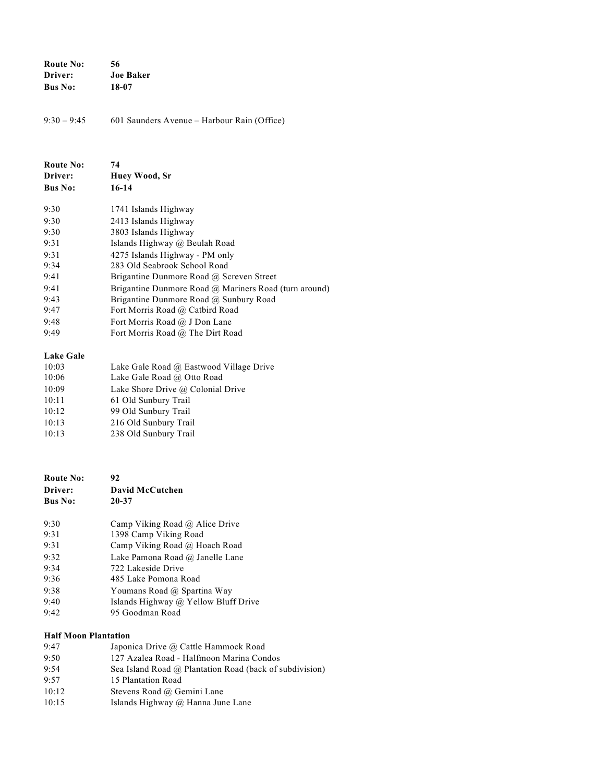| <b>Route No:</b> | 56               |
|------------------|------------------|
| Driver:          | <b>Joe Baker</b> |
| <b>Bus No:</b>   | 18-07            |

9:30 – 9:45 601 Saunders Avenue – Harbour Rain (Office)

| <b>Route No:</b><br>Driver:<br><b>Bus No:</b> | 74<br>Huev Wood, Sr<br>16-14                          |
|-----------------------------------------------|-------------------------------------------------------|
| 9:30                                          | 1741 Islands Highway                                  |
| 9:30                                          | 2413 Islands Highway                                  |
| 9:30                                          | 3803 Islands Highway                                  |
| 9:31                                          | Islands Highway @ Beulah Road                         |
| 9:31                                          | 4275 Islands Highway - PM only                        |
| 9:34                                          | 283 Old Seabrook School Road                          |
| 9:41                                          | Brigantine Dunmore Road @ Screven Street              |
| 9:41                                          | Brigantine Dunmore Road @ Mariners Road (turn around) |
| 9:43                                          | Brigantine Dunmore Road @ Sunbury Road                |
| 9:47                                          | Fort Morris Road @ Catbird Road                       |
| 9:48                                          | Fort Morris Road @ J Don Lane                         |
| 9:49                                          | Fort Morris Road @ The Dirt Road                      |

### **Lake Gale**

| <b>Lake Gale</b> |                                         |
|------------------|-----------------------------------------|
| 10:03            | Lake Gale Road @ Eastwood Village Drive |
| 10:06            | Lake Gale Road @ Otto Road              |
| 10:09            | Lake Shore Drive @ Colonial Drive       |
| 10:11            | 61 Old Sunbury Trail                    |
| 10:12            | 99 Old Sunbury Trail                    |
| 10:13            | 216 Old Sunbury Trail                   |
| 10:13            | 238 Old Sunbury Trail                   |
|                  |                                         |

| Route No:      | 92                                   |
|----------------|--------------------------------------|
| Driver:        | David McCutchen                      |
| <b>Bus No:</b> | 20-37                                |
| 9:30           | Camp Viking Road @ Alice Drive       |
| 9.31           | 1398 Camp Viking Road                |
| 9:31           | Camp Viking Road @ Hoach Road        |
| 9:32           | Lake Pamona Road @ Janelle Lane      |
| 9.34           | 722 Lakeside Drive                   |
| 9:36           | 485 Lake Pomona Road                 |
| 9:38           | Youmans Road @ Spartina Way          |
| 9.40           | Islands Highway @ Yellow Bluff Drive |
| 9.42           | 95 Goodman Road                      |
|                |                                      |

## **Half Moon Plantation**

| 9:47  | Japonica Drive @ Cattle Hammock Road                    |
|-------|---------------------------------------------------------|
| 9:50  | 127 Azalea Road - Halfmoon Marina Condos                |
| 9:54  | Sea Island Road @ Plantation Road (back of subdivision) |
| 9:57  | 15 Plantation Road                                      |
| 10:12 | Stevens Road @ Gemini Lane                              |
| 10:15 | Islands Highway $\omega$ Hanna June Lane                |
|       |                                                         |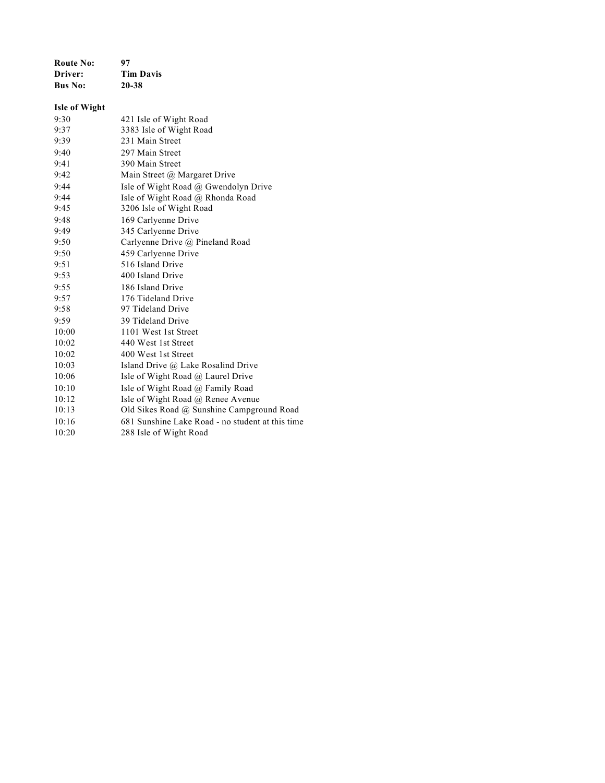| <b>Route No:</b>     | 97                                               |
|----------------------|--------------------------------------------------|
| Driver:              | <b>Tim Davis</b>                                 |
| <b>Bus No:</b>       | 20-38                                            |
| <b>Isle of Wight</b> |                                                  |
| 9:30                 | 421 Isle of Wight Road                           |
| 9:37                 | 3383 Isle of Wight Road                          |
| 9:39                 | 231 Main Street                                  |
| 9:40                 | 297 Main Street                                  |
| 9:41                 | 390 Main Street                                  |
| 9:42                 | Main Street @ Margaret Drive                     |
| 9:44                 | Isle of Wight Road @ Gwendolyn Drive             |
| 9:44                 | Isle of Wight Road @ Rhonda Road                 |
| 9:45                 | 3206 Isle of Wight Road                          |
| 9:48                 | 169 Carlyenne Drive                              |
| 9:49                 | 345 Carlyenne Drive                              |
| 9:50                 | Carlyenne Drive @ Pineland Road                  |
| 9:50                 | 459 Carlyenne Drive                              |
| 9:51                 | 516 Island Drive                                 |
| 9:53                 | 400 Island Drive                                 |
| 9:55                 | 186 Island Drive                                 |
| 9:57                 | 176 Tideland Drive                               |
| 9:58                 | 97 Tideland Drive                                |
| 9:59                 | 39 Tideland Drive                                |
| 10:00                | 1101 West 1st Street                             |
| 10:02                | 440 West 1st Street                              |
| 10:02                | 400 West 1st Street                              |
| 10:03                | Island Drive @ Lake Rosalind Drive               |
| 10:06                | Isle of Wight Road @ Laurel Drive                |
| 10:10                | Isle of Wight Road @ Family Road                 |
| 10:12                | Isle of Wight Road @ Renee Avenue                |
| 10:13                | Old Sikes Road @ Sunshine Campground Road        |
| 10:16                | 681 Sunshine Lake Road - no student at this time |
| 10:20                | 288 Isle of Wight Road                           |
|                      |                                                  |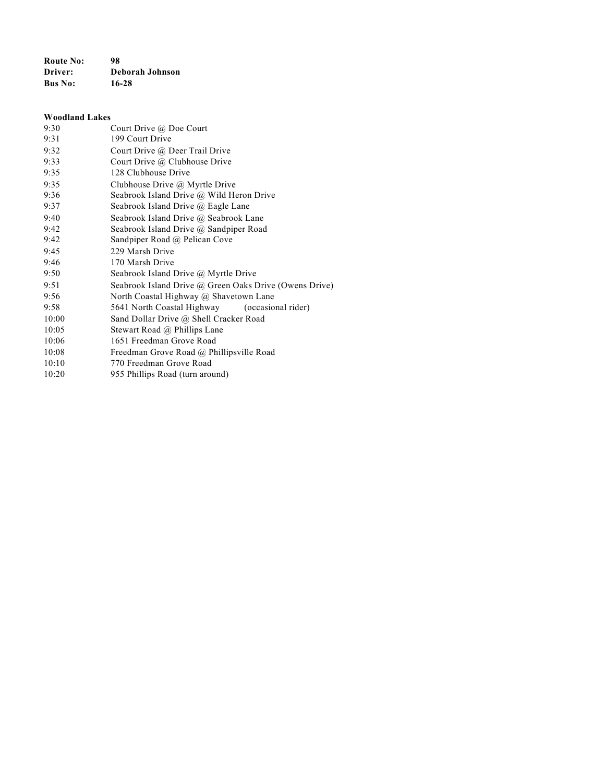**Route No: 98 Driver: Deborah Johnson Bus No: 16-28**

# **Woodland Lakes** 9:30 Court Drive @ Doe Court 9:31 199 Court Drive 9:32 Court Drive @ Deer Trail Drive 9:33 Court Drive @ Clubhouse Drive 9:35 128 Clubhouse Drive 9:35 Clubhouse Drive @ Myrtle Drive 9:36 Seabrook Island Drive @ Wild Heron Drive 9:37 Seabrook Island Drive @ Eagle Lane 9:40 Seabrook Island Drive @ Seabrook Lane 9:42 Seabrook Island Drive @ Sandpiper Road 9:42 Sandpiper Road @ Pelican Cove 9:45 229 Marsh Drive 9:46 170 Marsh Drive 9:50 Seabrook Island Drive @ Myrtle Drive 9:51 Seabrook Island Drive @ Green Oaks Drive (Owens Drive) 9:56 North Coastal Highway @ Shavetown Lane 9:58 5641 North Coastal Highway (occasional rider) 10:00 Sand Dollar Drive @ Shell Cracker Road 10:05 Stewart Road @ Phillips Lane 10:06 1651 Freedman Grove Road 10:08 Freedman Grove Road @ Phillipsville Road 10:10 770 Freedman Grove Road 10:20 955 Phillips Road (turn around)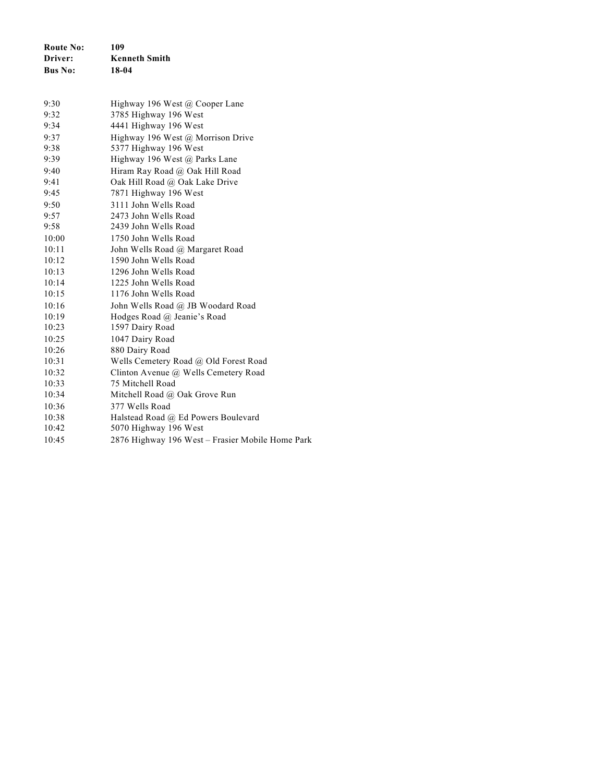| <b>Route No:</b> | 109                                |
|------------------|------------------------------------|
| Driver:          | <b>Kenneth Smith</b>               |
| <b>Bus No:</b>   | 18-04                              |
| 9:30             | Highway 196 West $(a)$ Cooper Lane |
| 9:32             | 3785 Highway 196 West              |
| 9:34             | 4441 Highway 196 West              |

| 9:37  | Highway 196 West @ Morrison Drive                |
|-------|--------------------------------------------------|
| 9:38  | 5377 Highway 196 West                            |
| 9:39  | Highway 196 West @ Parks Lane                    |
| 9:40  | Hiram Ray Road @ Oak Hill Road                   |
| 9:41  | Oak Hill Road @ Oak Lake Drive                   |
| 9:45  | 7871 Highway 196 West                            |
| 9:50  | 3111 John Wells Road                             |
| 9:57  | 2473 John Wells Road                             |
| 9:58  | 2439 John Wells Road                             |
| 10:00 | 1750 John Wells Road                             |
| 10:11 | John Wells Road @ Margaret Road                  |
| 10:12 | 1590 John Wells Road                             |
| 10:13 | 1296 John Wells Road                             |
| 10:14 | 1225 John Wells Road                             |
| 10:15 | 1176 John Wells Road                             |
| 10:16 | John Wells Road @ JB Woodard Road                |
| 10:19 | Hodges Road @ Jeanie's Road                      |
| 10:23 | 1597 Dairy Road                                  |
| 10:25 | 1047 Dairy Road                                  |
| 10:26 | 880 Dairy Road                                   |
| 10:31 | Wells Cemetery Road @ Old Forest Road            |
| 10:32 | Clinton Avenue @ Wells Cemetery Road             |
| 10:33 | 75 Mitchell Road                                 |
| 10:34 | Mitchell Road $\omega$ Oak Grove Run             |
| 10:36 | 377 Wells Road                                   |
| 10:38 | Halstead Road @ Ed Powers Boulevard              |
| 10:42 | 5070 Highway 196 West                            |
| 10:45 | 2876 Highway 196 West - Frasier Mobile Home Park |
|       |                                                  |